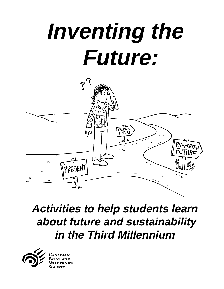# **Inventing the Future:**



# **Activities to help students learn about future and sustainability in the Third Millennium**

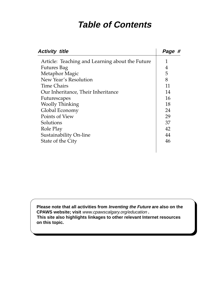# **Table of Contents**

| <b>Activity title</b>                           | Page # |
|-------------------------------------------------|--------|
| Article: Teaching and Learning about the Future |        |
| <b>Futures Bag</b>                              | 4      |
| Metaphor Magic                                  | 5      |
| New Year's Resolution                           | 8      |
| Time Chairs                                     | 11     |
| Our Inheritance, Their Inheritance              | 14     |
| Futurescapes                                    | 16     |
| <b>Woolly Thinking</b>                          | 18     |
| Global Economy                                  | 24     |
| Points of View                                  | 29     |
| Solutions                                       | 37     |
| Role Play                                       | 42     |
| Sustainability On-line                          | 44     |
| State of the City                               | 46     |
|                                                 |        |
|                                                 |        |

**Please note that all activities from Inventing the Future are also on the CPAWS website; visit** www.cpawscalgary.org/education **. This site also highlights linkages to other relevant Internet resources on this topic.**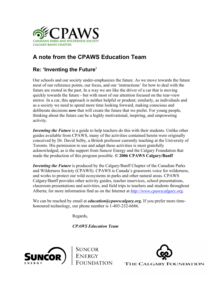

# **A note from the CPAWS Education Team**

# **Re: 'Inventing the Future'**

Our schools and our society under-emphasizes the future. As we move towards the future most of our reference points, our focus, and our 'instructions' for how to deal with the future are rooted in the past. In a way we are like the driver of a car that is moving quickly towards the future - but with most of our attention focused on the rear-view mirror. In a car, this approach is neither helpful or prudent; similarly, as individuals and as a society we need to spend more time looking forward, making conscious and deliberate decisions *now* that will create the future that we prefer. For young people, thinking about the future can be a highly motivational, inspiring, and empowering activity.

*Inventing the Future* is a guide to help teachers do this with their students. Unlike other guides available from CPAWS, many of the activities contained herein were originally conceived by Dr. David Selby, a British professor currently teaching at the University of Toronto. His permission to use and adapt these activities is most gratefully acknowledged, as is the support from Suncor Energy and the Calgary Foundation that made the production of this program possible. **© 2006 CPAWS Calgary/Banff** 

*Inventing the Future* is produced by the Calgary/Banff Chapter of the Canadian Parks and Wilderness Society (CPAWS). CPAWS is Canada's grassroots voice for wilderness, and works to protect our wild ecosystems in parks and other natural areas. CPAWS Calgary/Banff provides other activity guides, teacher inservices, school presentations, classroom presentations and activities, and field trips to teachers and students throughout Alberta; for more information find us on the Internet at *http://www.cpawscalgary.org.* 

We can be reached by email at *education@cpawscalgary.org*. If you prefer more timehonoured technology, our phone number is 1-403-232-6686.

Regards,

*CPAWS Education Team*







THE CALGARY FOUNDATION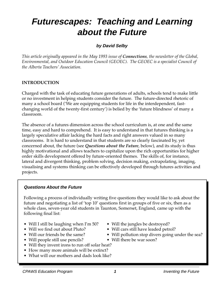# **Futurescapes: Teaching and Learning about the Future**

# **by David Selby**

*This article originally appeared in the May 1993 issue of Connections, the newsletter of the Global, Environmental, and Outdoor Education Council (GEOEC). The GEOEC is a specialist Council of the Alberta Teachers' Association.*

### **INTRODUCTION**

Charged with the task of educating future generations of adults, schools tend to make little or no investment in helping students consider the future. The future-directed rhetoric of many a school board ('We are equipping students for life in the interdependent, fastchanging world of the twenty-first century') is belied by the 'future blindness' of many a classroom.

The absence of a futures dimension across the school curriculum is, at one and the same time, easy and hard to comprehend. It is easy to understand in that futures thinking is a largely speculative affair lacking the hard facts and right answers valued in so many classrooms. It is hard to understand in that students are so clearly fascinated by, yet concerned about, the future (see *Questions about the Future*, below), and its study is thus highly motivational and allows teachers to capitalize upon the rich opportunities for higher order skills development offered by future-oriented themes. The skills of, for instance, lateral and divergent thinking, problem solving, decision making, extrapolating, imaging, visualising and systems thinking can be effectively developed through futures activities and projects.

# **Questions About the Future**

Following a process of individually writing five questions they would like to ask about the future and negotiating a list of 'top 10' questions first in groups of five or six, then as a whole class, seven-year old students in Taunton, Somerset, England, came up with the following final list:

- Will I still be laughing when I'm 50? Will the jungles be destroyed?
- 
- 
- Will people still use pencils? Will there be war soon?
- Will they invent irons to run off solar heat?
- How many more animals will be extinct?
- What will our mothers and dads look like?
- 
- Will we find out about Pluto? Will cars still have leaded petrol?
- Will our friends be the same? Will pollution stop divers going under the sea?
	-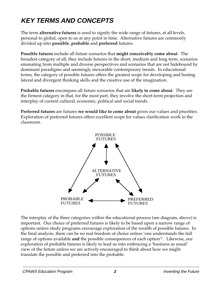# **KEY TERMS AND CONCEPTS**

The term **alternative futures** is used to signify the wide range of futures, at all levels, personal to global, open to us at any point in time. Alternative futures are commonly divided up into **possible**, **probable** and **preferred** futures.

**Possible futures** include all future scenarios that **might conceivably come about**. The broadest category of all, they include futures in the short, medium and long term, scenarios emanating from multiple and diverse perspectives and scenarios that are not hidebound by dominant paradigms and seemingly inexorable contemporary trends. In educational terms, the category of possible futures offers the greatest scope for developing and honing lateral and divergent thinking skills and the creative use of the imagination.

**Probable futures** encompass all future scenarios that are **likely to come about**. They are the firmest category in that, for the most part, they involve the short-term projection and interplay of current cultural, economic, political and social trends.

**Preferred futures** are futures **we would like to come about** given our values and priorities. Exploration of preferred futures offers excellent scope for values clarification work in the classroom.



The interplay of the three categories within the educational process (see diagram, above) is important. Our choice of preferred futures is likely to be based upon a narrow range of options unless study programs encourage exploration of the wealth of possible futures. In the final analysis, there can be no real freedom of choice unless 'one understands the full range of options available **and** the possible consequences of each option'2 . Likewise, our exploration of probable futures is likely to lead us into embracing a 'business as usual' view of the future unless we are actively encouraged to think about how we might translate the possible and preferred into the probable.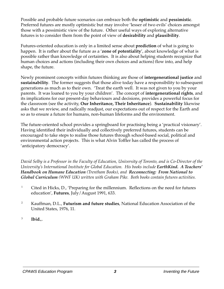Possible and probable future scenarios can embrace both the **optimistic** and **pessimistic**. Preferred futures are mostly optimistic but may involve 'lesser of two evils' choices amongst those with a pessimistic view of the future. Other useful ways of exploring alternative futures is to consider them from the point of view of **desirability** and **plausibility**.

Futures-oriented education is only in a limited sense about **prediction** of what is going to happen. It is rather about the future as a '**zone of potentiality**', about knowledge of what is possible rather than knowledge of certainties. It is also about helping students recognize that human choices and actions (including their own choices and actions) flow into, and help shape, the future.

Newly prominent concepts within futures thinking are those of **intergenerational justice** and **sustainability**. The former suggests that those alive today have a responsibility to subsequent generations as much as to their own. 'Treat the earth well. It was not given to you by your parents. It was loaned to you by your children'. The concept of **intergenerational rights**, and its implications for our present-day behaviours and decisions, provides a powerful focus for the classroom (see the activity, **Our Inheritance, Their Inheritance**). **Sustainability** likewise asks that we review, and radically readjust, our expectations out of respect for the Earth and so as to ensure a future for humans, non-human lifeforms and the environment.

The future-oriented school provides a springboard for practising being a 'practical visionary'. Having identified their individually and collectively preferred futures, students can be encouraged to take steps to realise those futures through school-based social, political and environmental action projects. This is what Alvin Toffler has called the process of 'anticipatory democracy'.

*David Selby is a Professor in the Faculty of Education, University of Toronto, and is Co-Director of the University's International Institute for Global Education. His books include EarthKind. A Teachers' Handbook on Humane Education (Trentham Books), and Reconnecting: From National to Global Curriculum (WWF UK) written with Graham Pike. Both books contain futures activities.*

- <sup>1</sup> Cited in Hicks, D., 'Preparing for the millennium. Reflections on the need for futures education', **Futures**, July/August 1991, 633.
- <sup>2</sup> Kauffman, D.L., **Futurism and future studies**, National Education Association of the United States, 1976, 11.
- <sup>3</sup> **Ibid.**,.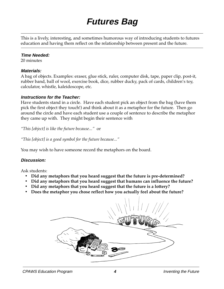# **Futures Bag**

This is a lively, interesting, and sometimes humorous way of introducing students to futures education and having them reflect on the relationship between present and the future.

### **Time Needed:**

20 minutes

### **Materials:**

A bag of objects. Examples: eraser, glue stick, ruler, computer disk, tape, paper clip, post-it, rubber band, ball of wool, exercise book, dice, rubber ducky, pack of cards, children's toy, calculator, whistle, kaleidoscope, etc.

# **Instructions for the Teacher:**

Have students stand in a circle. Have each student pick an object from the bag (have them pick the first object they touch!) and think about it as a metaphor for the future. Then go around the circle and have each student use a couple of sentence to describe the metaphor they came up with. They might begin their sentence with

*"This [object] is like the future because..."* or

*"This [object] is a good symbol for the future because..."*

You may wish to have someone record the metaphors on the board.

# **Discussion:**

Ask students:

- **Did any metaphors that you heard suggest that the future is pre-determined?**
- **Did any metaphors that you heard suggest that humans can influence the future?**
- **Did any metaphors that you heard suggest that the future is a lottery?**
- **Does the metaphor you chose reflect how you actually feel about the future?**

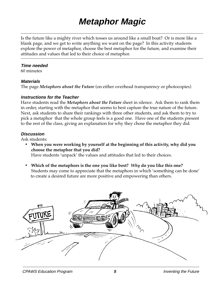# **Metaphor Magic**

Is the future like a mighty river which tosses us around like a small boat? Or is more like a blank page, and we get to write anything we want on the page? In this activity students explore the power of metaphor, choose the best metaphor for the future, and examine their attitudes and values that led to their choice of metaphor.

### **Time needed**

60 minutes

### **Materials**

The page *Metaphors about the Future* (on either overhead transparency or photocopies)

# **Instructions for the Teacher**

Have students read the *Metaphors about the Future* sheet in silence. Ask them to rank them in order, starting with the metaphor that seems to best capture the true nature of the future. Next, ask students to share their rankings with three other students, and ask them to try to pick a metaphor that the whole group feels is a good one. Have one of the students present to the rest of the class, giving an explanation for why they chose the metaphor they did.

### **Discussion**

Ask students:

**• When you were working by yourself at the beginning of this activity, why did you choose the metaphor that you did?**

Have students 'unpack' the values and attitudes that led to their choices.

**• Which of the metaphors is the one you like best?** *Why* **do you like this one?** Students may come to appreciate that the metaphors in which 'something can be done' to create a desired future are more positive and empowering than others.

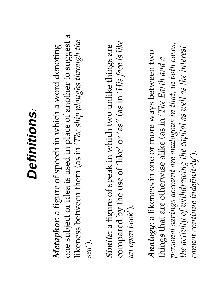# **Definitions: Definitions:**

one subject or idea is used in place of another to suggest a one subject or idea is used in place of another to suggest a likeness between them (as in 'The ship ploughs through the likeness between them (as in '*The ship ploughs through the* Metaphor: a figure of speech in which a word denoting *Metaphor*: a figure of speech in which a word denoting *sea*').

compared by the use of 'like' or 'as'' (as in 'His face is like compared by the use of 'like' or 'as'' (as in '*His face is like* Simile: a figure of speak in which two unlike things are *Simile*: a figure of speak in which two unlike things are an open book'). *an open book*').

personal savings account are analogous in that, in both cases, *personal savings account are analogous in that, in both cases,* the activity of withdrawing the capital as well as the interest *the activity of withdrawing the capital as well as the interest* Analogy: a likeness in one or more ways between two *Analogy*: a likeness in one or more ways between two things that are otherwise alike (as in 'The Earth and a things that are otherwise alike (as in '*The Earth and a* cannot continue indefinitely'). *cannot continue indefinitely*').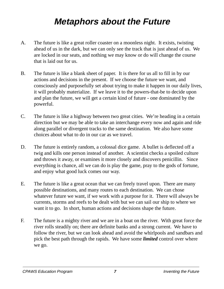# **Metaphors about the Future**

- A. The future is like a great roller coaster on a moonless night. It exists, twisting ahead of us in the dark, but we can only see the track that is just ahead of us. We are locked in our seats, and nothing we may know or do will change the course that is laid out for us.
- B. The future is like a blank sheet of paper. It is there for us all to fill in by our actions and decisions in the present. If we choose the future we want, and consciously and purposefully set about trying to make it happen in our daily lives, it will probably materialize. If we leave it to the powers-that-be to decide upon and plan the future, we will get a certain kind of future - one dominated by the powerful.
- C. The future is like a highway between two great cities. We're heading in a certain direction but we may be able to take an interchange every now and again and ride along parallel or divergent tracks to the same destination. We also have some choices about what to do in our car as we travel.
- D. The future is entirely random, a colossal dice game. A bullet is deflected off a twig and kills one person instead of another. A scientist checks a spoiled culture and throws it away, or examines it more closely and discovers penicillin. Since everything is chance, all we can do is play the game, pray to the gods of fortune, and enjoy what good luck comes our way.
- E. The future is like a great ocean that we can freely travel upon. There are many possible destinations, and many routes to each destination. We can chose whatever future we want, if we work with a purpose for it. There will always be currents, storms and reefs to be dealt with but we can sail our ship to where we want it to go. In short, human actions and decisions shape the future.
- F. The future is a mighty river and we are in a boat on the river. With great force the river rolls steadily on; there are definite banks and a strong current. We have to follow the river, but we can look ahead and avoid the whirlpools and sandbars and pick the best path through the rapids. We have some *limited* control over where we go.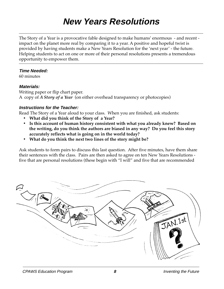# **New Years Resolutions**

The Story of a Year is a provocative fable designed to make humans' enormous - and recent impact on the planet more real by comparing it to a year. A positive and hopeful twist is provided by having students make a New Years Resolution for the 'next year' - the future. Helping students to act on one or more of their personal resolutions presents a tremendous opportunity to empower them.

### **Time Needed:**

60 minutes

### **Materials:**

Writing paper or flip chart paper. A copy of *A Story of a Year* (on either overhead transparency or photocopies)

# **Instructions for the Teacher:**

Read The Story of a Year aloud to your class. When you are finished, ask students:

- **What did you think of the Story of a Year?**
- **Is this account of human history consistent with what you already knew? Based on the writing, do you think the authors are biased in any way? Do you feel this story accurately reflects what is going on in the world today?**
- **What do you think the next two lines of the story might be?**

Ask students to form pairs to discuss this last question. After five minutes, have them share their sentences with the class. Pairs are then asked to agree on ten New Years Resolutions five that are personal resolutions (these begin with "I will" and five that are recommended

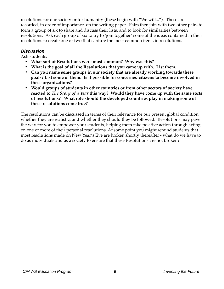resolutions for our society or for humanity (these begin with "We will..."). These are recorded, in order of importance, on the writing paper. Pairs then join with two other pairs to form a group of six to share and discuss their lists, and to look for similarities between resolutions. Ask each group of six to try to 'join together' some of the ideas contained in their resolutions to create one or two that capture the most common items in resolutions.

# **Discussion**

Ask students:

- **What sort of Resolutions were most common? Why was this?**
- **What is the goal of all the Resolutions that you came up with. List them.**
- **Can you name some groups in our society that are already working towards these goals? List some of them. Is it possible for concerned citizens to become involved in these organizations?**
- **Would groups of students in other countries or from other sectors of society have reacted to** *The Story of a Year* **this way? Would they have come up with the same sorts of resolutions? What role should the developed countries play in making some of these resolutions come true?**

The resolutions can be discussed in terms of their relevance for our present global condition, whether they are realistic, and whether they should they be followed. Resolutions may pave the way for you to empower your students, helping them take positive action through acting on one or more of their personal resolutions. At some point you might remind students that most resolutions made on New Year's Eve are broken shortly thereafter - what do we have to do as individuals and as a society to ensure that these Resolutions are not broken?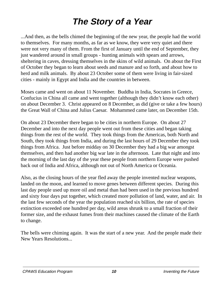# **The Story of a Year**

...And then, as the bells chimed the beginning of the new year, the people had the world to themselves. For many months, as far as we know, they were very quiet and there were not very many of them. From the first of January until the end of September, they just wandered around in small groups - hunting animals with spears and arrows, sheltering in caves, dressing themselves in the skins of wild animals. On about the First of October they began to learn about seeds and manure and so forth, and about how to herd and milk animals. By about 23 October some of them were living in fair-sized cities - mainly in Egypt and India and the countries in between.

Moses came and went on about 11 November. Buddha in India, Socrates in Greece, Confucius in China all came and went together (although they didn't know each other) on about December 3. Christ appeared on 8 December, as did (give or take a few hours) the Great Wall of China and Julius Caesar. Mohammed came later, on December 15th.

On about 23 December there began to be cities in northern Europe. On about 27 December and into the next day people went out from these cities and began taking things from the rest of the world. They took things from the Americas, both North and South, they took things from India, and during the last hours of 29 December they took things from Africa. Just before midday on 30 December they had a big war amongst themselves, and then had another big war late in the afternoon. Late that night and into the morning of the last day of the year these people from northern Europe were pushed back out of India and Africa, although not out of North America or Oceania.

Also, as the closing hours of the year fled away the people invented nuclear weapons, landed on the moon, and learned to move genes between different species. During this last day people used up more oil and metal than had been used in the previous hundred and sixty four days put together, which created more pollution of land, water, and air. In the last few seconds of the year the population reached six billion, the rate of species extinction exceeded one hundred per day, wild areas shrunk to a small fraction of their former size, and the exhaust fumes from their machines caused the climate of the Earth to change.

The bells were chiming again. It was the start of a new year. And the people made their New Years Resolutions...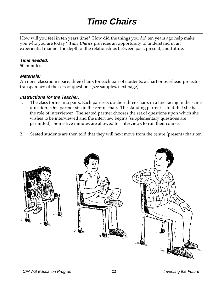# **Time Chairs**

How will you feel in ten years time? How did the things you did ten years ago help make you who you are today? *Time Chairs* provides an opportunity to understand in an experiential manner the depth of the relationships between past, present, and future.

### **Time needed:**

50 minutes

### **Materials:**

An open classroom space; three chairs for each pair of students; a chart or overhead projector transparency of the sets of questions (see samples, next page)

### **Instructions for the Teacher:**

- 1. The class forms into pairs. Each pair sets up their three chairs in a line facing in the same direction. One partner sits in the centre chair. The standing partner is told that she has the role of interviewer. The seated partner chooses the set of questions upon which she wishes to be interviewed and the interview begins (supplementary questions are permitted). Some five minutes are allowed for interviews to run their course.
- 2. Seated students are then told that they will next move from the centre (present) chair ten

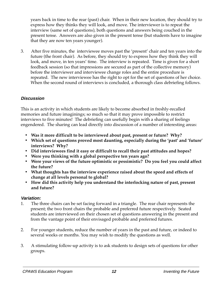years back in time to the rear (past) chair. When in their new location, they should try to express how they thinks they will look, and move. The interviewer is to repeat the interview (same set of questions), both questions and answers being couched in the present tense. Answers are also given in the present tense (but students have to imagine that they are now ten years younger).

3. After five minutes, the interviewee moves past the 'present' chair and ten years into the future (the front chair). As before, they should try to express how they think they will look, and move, in ten years' time. The interview is repeated. Time is given for a short feedback session (so that impressions are secured as part of the collective memory) before the interviewer and interviewee change roles and the entire procedure is repeated. The new interviewee has the right to opt for the set of questions of her choice. When the second round of interviews is concluded, a thorough class debriefing follows.

# **Discussion**

This is an activity in which students are likely to become absorbed in freshly-recalled memories and future imaginings; so much so that it may prove impossible to restrict interviews to five minutes! The debriefing can usefully begin with a sharing of feelings engendered. The sharing can lead directly into discussion of a number of interesting areas:

- **Was it more difficult to be interviewed about past, present or future? Why?**
- **Which set of questions proved most daunting, especially during the 'past' and 'future' interviews? Why?**
- **Did interviewees find it easy or difficult to recall their past attitudes and hopes?**
- **Were you thinking with a global perspective ten years ago?**
- **Were your views of the future optimistic or pessimistic? Do you feel you could affect the future?**
- **What thoughts has the interview experience raised about the speed and effects of change at all levels personal to global?**
- **How did this activity help you understand the interlocking nature of past, present and future?**

# **Variation:**

- 1. The three chairs can be set facing forward in a triangle. The rear chair represents the present; the two front chairs the probable and preferred future respectively. Seated students are interviewed on their chosen set of questions answering in the present and from the vantage point of their envisaged probable and preferred futures.
- 2. For younger students, reduce the number of years in the past and future, or indeed to several weeks or months. You may wish to modify the questions as well.
- 3. A stimulating follow-up activity is to ask students to design sets of questions for other groups.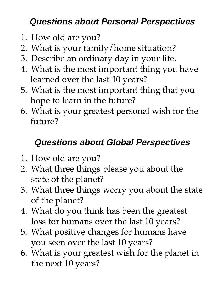# **Questions about Personal Perspectives**

- 1. How old are you?
- 2. What is your family/home situation?
- 3. Describe an ordinary day in your life.
- 4. What is the most important thing you have learned over the last 10 years?
- 5. What is the most important thing that you hope to learn in the future?
- 6. What is your greatest personal wish for the future?

# **Questions about Global Perspectives**

- 1. How old are you?
- 2. What three things please you about the state of the planet?
- 3. What three things worry you about the state of the planet?
- 4. What do you think has been the greatest loss for humans over the last 10 years?
- 5. What positive changes for humans have you seen over the last 10 years?
- 6. What is your greatest wish for the planet in the next 10 years?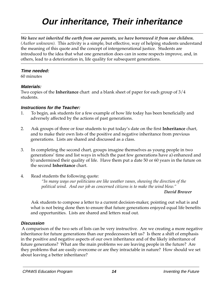# **Our inheritance, Their inheritance**

*We have not inherited the earth from our parents, we have borrowed it from our children. (Author unknown).* This activity is a simple, but effective, way of helping students understand the meaning of this quote and the concept of intergenerational justice. Students are introduced to the idea that what one generation does can in some respects improve, and, in others, lead to a deterioration in, life quality for subsequent generations.

# **Time needed:**

60 minutes

# **Materials:**

Two copies of the **Inheritance** chart and a blank sheet of paper for each group of 3/4 students.

# **Instructions for the Teacher:**

- 1. To begin, ask students for a few example of how life today has been beneficially and adversely affected by the actions of past generations.
- 2. Ask groups of three or four students to put today's date on the first **Inheritance** chart, and to make their own lists of the positive and negative inheritance from previous generations. Lists are shared and discussed as a class.
- 3. In completing the second chart, groups imagine themselves as young people in two generations' time and list ways in which the past few generations have a) enhanced and b) undermined their quality of life. Have them put a date 50 or 60 years in the future on the second **Inheritance** chart.
- 4. Read students the following quote:

*"In many ways our politicians are like weather vanes, showing the direction of the political wind. And our job as concerned citizens is to make the wind blow." David Brower*

Ask students to compose a letter to a current decision-maker, pointing out what is and what is not being done then to ensure that future generations enjoyed equal life benefits and opportunities. Lists are shared and letters read out.

# **Discussion**

 A comparison of the two sets of lists can be very instructive. Are we creating a more negative inheritance for future generations than our predecessors left us? Is there a shift of emphasis in the positive and negative aspects of our own inheritance and of the likely inheritance of future generations? What are the main problems we are leaving people in the future? Are they problems that are easily overcome or are they intractable in nature? How should we set about leaving a better inheritance?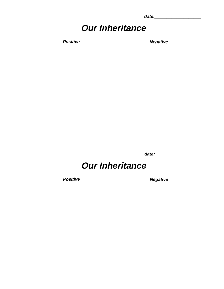**Our Inheritance Positive**  Negative **Negative date:\_\_\_\_\_\_\_\_\_\_\_\_\_\_\_\_\_\_\_**

 **date:\_\_\_\_\_\_\_\_\_\_\_\_\_\_\_\_\_\_\_**

# **Our Inheritance**

| <b>Positive</b> | <b>Negative</b> |
|-----------------|-----------------|
|                 |                 |
|                 |                 |
|                 |                 |
|                 |                 |
|                 |                 |
|                 |                 |
|                 |                 |
|                 |                 |
|                 |                 |
|                 |                 |
|                 |                 |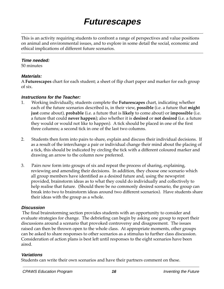# **Futurescapes**

This is an activity requiring students to confront a range of perspectives and value positions on animal and environmental issues, and to explore in some detail the social, economic and ethical implications of different future scenarios.

### **Time needed:**

50 minutes

# **Materials:**

A **Futurescapes** chart for each student; a sheet of flip chart paper and marker for each group of six.

# **Instructions for the Teacher:**

- 1. Working individually, students complete the **Futurescapes** chart, indicating whether each of the future scenarios described is, in their view, **possible** (i.e. a future that **might just** come about), **probable** (i.e. a future that is **likely** to come about) or **impossible** (i.e. a future that could **never happen**); also whether it is **desired** or **not desired** (i.e. a future they would or would not like to happen). A tick should be placed in one of the first three columns; a second tick in one of the last two columns.
- 2. Students then form into pairs to share, explain and discuss their individual decisions. If as a result of the interchange a pair or individual change their mind about the placing of a tick, this should be indicated by circling the tick with a different coloured marker and drawing an arrow to the column now preferred.
- 3. Pairs now form into groups of six and repeat the process of sharing, explaining, reviewing and amending their decisions. In addition, they choose one scenario which all group members have identified as a desired future and, using the newsprint provided, brainstorm ideas as to what they could do individually and collectively to help realise that future. (Should there be no commonly desired scenario, the group can break into two to brainstorm ideas around two different scenarios). Have students share their ideas with the group as a whole.

# **Discussion**

 The final brainstorming section provides students with an opportunity to consider and evaluate strategies for change. The debriefing can begin by asking one group to report their discussions around a scenario that provoked controversy and disagreement. The issues raised can then be thrown open to the whole class. At appropriate moments, other groups can be asked to share responses to other scenarios as a stimulus to further class discussion. Consideration of action plans is best left until responses to the eight scenarios have been aired.

# **Variations**

Students can write their own scenarios and have their partners comment on these.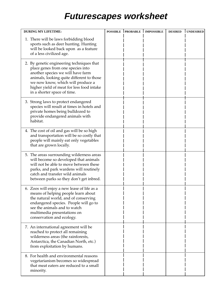# **Futurescapes worksheet**

| <b>DURING MY LIFETIME:</b>                                                                                                                                                                                                                                                        |  | POSSIBLE   PROBABLE   IMPOSSIBLE | <b>DESIRED</b> | <b>UNDESIRED</b> |
|-----------------------------------------------------------------------------------------------------------------------------------------------------------------------------------------------------------------------------------------------------------------------------------|--|----------------------------------|----------------|------------------|
| 1. There will be laws forbidding blood<br>sports such as deer hunting. Hunting<br>will be looked back upon as a feature<br>of a less civilized age.                                                                                                                               |  |                                  |                |                  |
| 2. By genetic engineering techniques that<br>place genes from one species into<br>another species we will have farm<br>animals, looking quite different to those<br>we now know, which will produce a<br>higher yield of meat for less food intake<br>in a shorter space of time. |  |                                  |                |                  |
| 3. Strong laws to protect endangered<br>species will result at times in hotels and<br>private homes being bulldozed to<br>provide endangered animals with<br>habitat.                                                                                                             |  |                                  |                |                  |
| 4. The cost of oil and gas will be so high<br>and transportation will be so costly that<br>people will mainly eat only vegetables<br>that are grown locally.                                                                                                                      |  |                                  |                |                  |
| 5. The areas surrounding wilderness areas<br>will become so developed that animals<br>will not be able to move between these<br>parks, and park wardens will routinely<br>catch and transfer wild animals<br>between parks so they don't get inbred.                              |  |                                  |                |                  |
| 6. Zoos will enjoy a new lease of life as a<br>means of helping people learn about<br>the natural world, and of conserving<br>endangered species. People will go to<br>see the animals and to watch<br>multimedia presentations on<br>conservation and ecology.                   |  |                                  |                |                  |
| 7. An international agreement will be<br>reached to protect all remaining<br>wilderness areas (the rainforests,<br>Antarctica, the Canadian North, etc.)<br>from exploitation by humans.                                                                                          |  |                                  |                |                  |
| 8. For health and environmental reasons<br>vegetarianism becomes so widespread<br>that meat eaters are reduced to a small<br>minority.                                                                                                                                            |  |                                  |                |                  |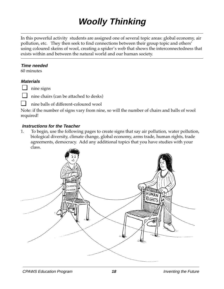# **Woolly Thinking**

In this powerful activity students are assigned one of several topic areas: global economy, air pollution, etc. They then seek to find connections between their group topic and others' using coloured skeins of wool, creating a spider's web that shows the interconnectedness that exists within and between the natural world and our human society.

### **Time needed**

60 minutes

### **Materials**

❑ nine signs

 $\Box$  nine chairs (can be attached to desks)

❑ nine balls of different-coloured wool

Note: if the number of signs vary from nine, so will the number of chairs and balls of wool required!

# **Instructions for the Teacher**

1. To begin, use the following pages to create signs that say air pollution, water pollution, biological diversity, climate change, global economy, arms trade, human rights, trade agreements, democracy. Add any additional topics that you have studies with your class.

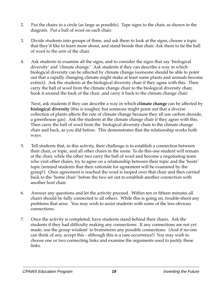- 2. Put the chairs in a circle (as large as possible). Tape signs to the chair, as shown in the diagram. Put a ball of wool on each chair.
- 3. Divide students into groups of three, and ask them to look at the signs, choose a topic that they'd like to learn more about, and stand beside that chair. Ask them to tie the ball of wool to the arm of the chair.
- 4. Ask students to examine all the signs, and to consider the signs that say 'biological diversity' and 'climate change.' Ask students if they can describe a way in which biological diversity can be affected by climate change (someone should be able to point out that a rapidly changing climate might make at least some plants and animals become extinct). Ask the students at the biological diversity chair if they agree with this. Then carry the ball of wool from the climate change chair to the biological diversity chair, hook it around the back of the chair, and carry it back to the climate change chair.

Next, ask students if they can describe a way in which **climate change** can be affected by **biological diversity** (this is tougher, but someone might point out that a diverse collection of plants affects the rate of climate change because they all use carbon dioxide, a greenhouse gas). Ask the students at the climate change chair if they agree with this. Then carry the ball of wool from the biological diversity chair to the climate change chair and back, as you did before. This demonstrates that the relationship works both ways.

- 5. Tell students that, in this activity, their challenge is to establish a connection between their chair, or topic, and all other chairs in the room. To do this one student will remain at the chair, while the other two carry the ball of wool and become a negotiating team who visit other chairs, try to agree on a relationship between their topic and the 'hosts' topic (remind students that their rationale for agreement will be examined by the group!). Once agreement is reached the wool is looped over that chair and then carried back to the 'home chair' before the two set out to establish another connection with another host chair.
- 6. Answer any questions and let the activity proceed. Within ten or fifteen minutes all chairs should be fully connected to all others. While this is going on, trouble-shoot any problems that arise. You may wish to assist students with some of the less obvious connections.
- 7. Once the activity is completed, have students stand behind their chairs. Ask the students if they had difficulty making any connections. If any connections are not yet made, use the group wisdom' to brainstorm any possible connections. (And if no-one can think of any, accept this - although this is a rare occurrence!) You may wish to choose one or two connecting links and examine the arguments used to justify these links.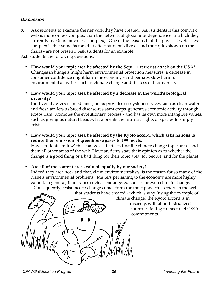### **Discussion**

8. Ask students to examine the network they have created. Ask students if this complex web is more or less complex than the network of global interdependence in which they currently live (it is much less complex). One of the reasons that the physical web is less complex is that some factors that affect student's lives - and the topics shown on the chairs - are not present. Ask students for an example.

Ask students the following questions:

- **How would your topic area be affected by the Sept. 11 terrorist attack on the USA?** Changes in budgets might harm environmental protection measures; a decrease in consumer confidence might harm the economy - and perhaps slow harmful environmental activities such as climate change and the loss of biodiversity!
- **How would your topic area be affected by a decrease in the world's biological diversity?**

Biodiversity gives us medicines, helps provides ecosystem services such as clean water and fresh air, lets us breed disease-resistant crops, generates economic activity through ecotourism, promotes the evolutionary process - and has its own more intangible values, such as giving us natural beauty, let alone its the intrinsic rights of species to simply exist.

**• How would your topic area be affected by the Kyoto accord, which asks nations to reduce their emission of greenhouse gases to 199 levels.**

Have students 'follow' this change as it affects first the climate change topic area - and them all other areas of the web. Have students state their opinion as to whether the change is a good thing or a bad thing for their topic area, for people, and for the planet.

### **• Are all of the content areas valued equally by our society?**

Indeed they area not - and that, claim environmentalists, is the reason for so many of the planets environmental problems. Matters pertaining to the economy are more highly valued, in general, than issues such as endangered species or even climate change. Consequently, resistance to change comes form the most powerful sectors in the web

that students have created - which is why (using the example of

climate change) the Kyoto accord is in disarray, with all industrialized countries failing to meet their 1990 commitments.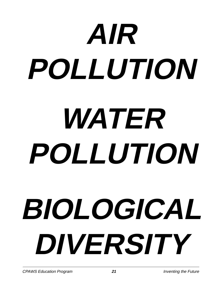# **AIR POLLUTION BIOLOGICAL DIVERSITY WATER POLLUTION**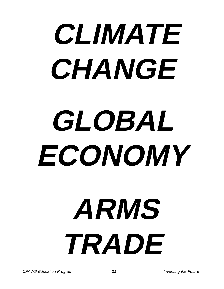# **CLIMATE CHANGE ARMS GLOBAL ECONOMY**

# **TRADE**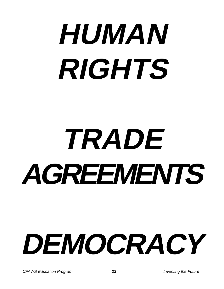# **HUMAN RIGHTS**

# **TRADE AGREEMENTS**

# **DEMOCRACY**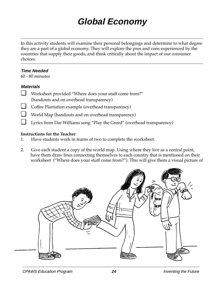# **Global Economy**

In this activity students will examine their personal belongings and determine to what degree they are a part of a global economy. They will explore the pros and cons experienced by the countries that supply their goods, and think critically about the impact of our consumer choices.

### **Time Needed**

60 - 80 minutes

#### **Materials**

- ❑ Worksheet provided "Where does your stuff come from?" (handouts and on overhead transparency)
- ❑ Coffee Plantation example (overhead transparency)
- ❑ World Map (handouts and on overhead transparency)
- $\Box$  Lyrics from Dar Williams song "Play the Greed" (overhead transparency)

#### **Instructions for the Teacher**

- 1. Have students work in teams of two to complete the worksheet.
- 2. Give each student a copy of the world map. Using where they live as a central point, have them draw lines connecting themselves to each country that is mentioned on their worksheet ("Where does your stuff come from?"). This will give them a visual picture of

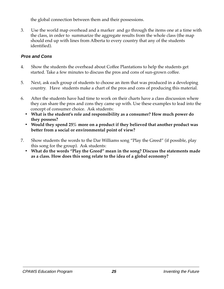the global connection between them and their possessions.

3. Use the world map overhead and a marker and go through the items one at a time with the class, in order to summarize the aggregate results from the whole class (the map should end up with lines from Alberta to every country that any of the students identified).

# **Pros and Cons**

- 4. Show the students the overhead about Coffee Plantations to help the students get started. Take a few minutes to discuss the pros and cons of sun-grown coffee.
- 5. Next, ask each group of students to choose an item that was produced in a developing country. Have students make a chart of the pros and cons of producing this material.
- 6. After the students have had time to work on their charts have a class discussion where they can share the pros and cons they came up with. Use these examples to lead into the concept of consumer choice. Ask students:
	- **What is the student's role and responsibility as a consumer? How much power do they possess?**
	- **Would they spend 25% more on a product if they believed that another product was better from a social or environmental point of view?**
- 7. Show students the words to the Dar Williams song "Play the Greed" (if possible, play this song for the group). Ask students:
	- **What do the words "Play the Greed" mean in the song? Discuss the statements made as a class. How does this song relate to the idea of a global economy?**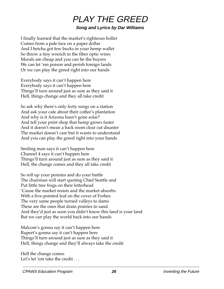# PLAY THE GREED

### **Song and Lyrics by Dar Williams**

I finally learned that the market's righteous holler Comes from a pale face on a paper dollar And I betcha got few bucks in your hemp wallet So throw a tiny wrench in the fiber optic wires Morals are cheap and you can be the buyers We can let 'em poison and perish foreign lands Or we can play the greed right into our hands

Everybody says it can't happen here Everybody says it can't happen here Things'll turn around just as sure as they said it Hell, things change and they all take credit

So ask why there's only forty songs on a station And ask your cafe about their coffee's plantation And why is it Arizona hasn't gone solar? And tell your print shop that hemp grows faster And it doesn't mean a back room clear cut disaster The market doesn't care but it wants to understand And you can play the greed right into your hands

Smiling man says it can't happen here Channel 4 says it can't happen here Things'll turn around just as sure as they said it Hell, the change comes and they all take credit

So roll up your pennies and do your battle The chairman will start quoting Chief Seattle and Put little tree frogs on their letterhead 'Cause the market resists and the market absorbs With a five-pointed leaf on the cover of Forbes The very same people turned valleys to dams These are the ones that drain prairies to sand And they'd just as soon you didn't know this land is your land But we can play the world back into our hands

Malcom's gonna say it can't happen here Rupert's gonna say it can't happen here Things'll turn around just as sure as they said it Hell, things change and they'll always take the credit

Hell the change comes Let's let 'em take the credit . . .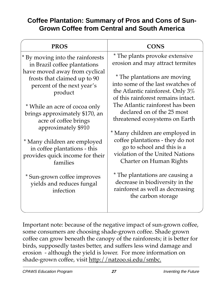# **Coffee Plantation: Summary of Pros and Cons of Sun-Grown Coffee from Central and South America**

| <b>PROS</b>                                                           | <b>CONS</b>                                                                                                                  |
|-----------------------------------------------------------------------|------------------------------------------------------------------------------------------------------------------------------|
| * By moving into the rainforests                                      | * The plants provoke extensive                                                                                               |
| in Brazil coffee plantations                                          | erosion and may attract termites                                                                                             |
| have moved away from cyclical                                         | * The plantations are moving                                                                                                 |
| frosts that claimed up to 90                                          | into some of the last swatches of                                                                                            |
| percent of the next year's                                            | the Atlantic rainforest. Only 3%                                                                                             |
| product                                                               | of this rainforest remains intact.                                                                                           |
| * While an acre of cocoa only                                         | The Atlantic rainforest has been                                                                                             |
| brings approximately \$170, an                                        | declared on of the 25 most                                                                                                   |
| acre of coffee brings                                                 | threatened ecosystems on Earth                                                                                               |
| approximately \$910                                                   | * Many children are employed in                                                                                              |
| * Many children are employed                                          | coffee plantations - they do not                                                                                             |
| in coffee plantations - this                                          | go to school and this is a                                                                                                   |
| provides quick income for their                                       | violation of the United Nations                                                                                              |
| families                                                              | Charter on Human Rights                                                                                                      |
| * Sun-grown coffee improves<br>yields and reduces fungal<br>infection | * The plantations are causing a<br>decrease in biodiversity in the<br>rainforest as well as decreasing<br>the carbon storage |

Important note: because of the negative impact of sun-grown coffee, some consumers are choosing shade-grown coffee. Shade grown coffee can grow beneath the canopy of the rainforests; it is better for birds, supposedly tastes better, and suffers less wind damage and erosion - although the yield is lower. For more information on shade-grown coffee, visit http://natzoo.si.edu/smbc.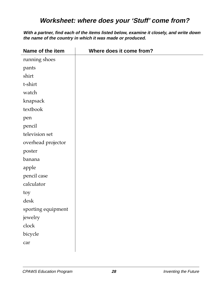# **Worksheet: where does your 'Stuff' come from?**

**With a partner, find each of the items listed below, examine it closely, and write down the name of the country in which it was made or produced.**

| Name of the item   | Where does it come from? |
|--------------------|--------------------------|
| running shoes      |                          |
| pants              |                          |
| shirt              |                          |
| t-shirt            |                          |
| watch              |                          |
| knapsack           |                          |
| textbook           |                          |
| pen                |                          |
| pencil             |                          |
| television set     |                          |
| overhead projector |                          |
| poster             |                          |
| banana             |                          |
| apple              |                          |
| pencil case        |                          |
| calculator         |                          |
| toy                |                          |
| desk               |                          |
| sporting equipment |                          |
| jewelry            |                          |
| clock              |                          |
| bicycle            |                          |
| car                |                          |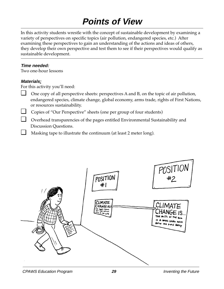# **Points of View**

In this activity students wrestle with the concept of sustainable development by examining a variety of perspectives on specific topics (air pollution, endangered species, etc.) After examining these perspectives to gain an understanding of the actions and ideas of others, they develop their own perspective and test them to see if their perspectives would qualify as sustainable development.

### **Time needed:**

Two one-hour lessons

# **Materials:**

For this activity you'll need:

- $\Box$  One copy of all perspective sheets: perspectives A and B, on the topic of air pollution, endangered species, climate change, global economy, arms trade, rights of First Nations, or resources sustainability.
- ❑ Copies of "Our Perspective" sheets (one per group of four students)
- ❑ Overhead transparencies of the pages entitled Environmental Sustainability and Discussion Questions.
- ❑ Masking tape to illustrate the continuum (at least 2 meter long).

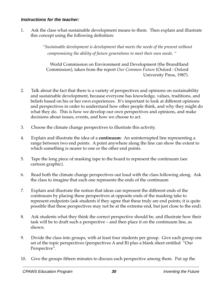### **Instructions for the teacher:**

1. Ask the class what sustainable development means to them. Then explain and illustrate this concept using the following definition:

> *"Sustainable development is development that meets the needs of the present without compromising the ability of future generations to meet their own needs. "*

World Commission on Environment and Development (the Brundtland Commission), taken from the report *Our Common Future* (Oxford : Oxford University Press, 1987).

- 2. Talk about the fact that there is a variety of perspectives and opinions on sustainability and sustainable development, because everyone has knowledge, values, traditions, and beliefs based on his or her own experiences. It's important to look at different opinions and perspectives in order to understand how other people think, and why they might do what they do. This is how we develop our own perspectives and opinions, and make decisions about issues, events, and how we choose to act.
- 3. Choose the climate change perspectives to illustrate this activity.
- 4. Explain and illustrate the idea of a **continuum**: An uninterrupted line representing a range between two end points. A point anywhere along the line can show the extent to which something is nearer to one or the other end points.
- 5. Tape the long piece of masking tape to the board to represent the continuum (see cartoon graphic).
- 6. Read both the climate change perspectives out loud with the class following along. Ask the class to imagine that each one represents the ends of the continuum
- 7. Explain and illustrate the notion that ideas can represent the different ends of the continuum by placing these perspectives at opposite ends of the masking take to represent endpoints (ask students if they agree that these truly are end points; it is quite possible that these perspectives may not be at the extreme end, but just close to the end).
- 8. Ask students what they think the correct perspective should be, and illustrate how their task will be to draft such a perspective – and then place it on the continuum line, as shown.
- 9. Divide the class into groups, with at least four students per group. Give each group one set of the topic perspectives (perspectives A and B) plus a blank sheet entitled "Our Perspective".
- 10. Give the groups fifteen minutes to discuss each perspective among them. Put up the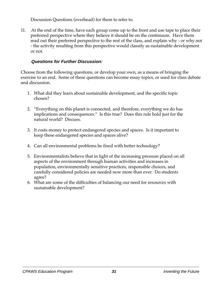Discussion Questions (overhead) for them to refer to.

11. At the end of the time, have each group come up to the front and use tape to place their preferred perspective where they believe it should be on the continuum. Have them read out their preferred perspective to the rest of the class, and explain why - or why not - the activity resulting from this perspective would classify as sustainable development or not.

# **Questions for Further Discussion:**

Choose from the following questions, or develop your own, as a means of bringing the exercise to an end. Some of these questions can become essay topics, or used for class debate and discussion.

- 1. What did they learn about sustainable development, and the specific topic chosen?
- 2. "Everything on this planet is connected, and therefore, everything we do has implications and consequences." Is this true? Does this rule hold just for the natural world? Discuss.
- 3. It costs money to protect endangered species and spaces. Is it important to keep these endangered species and spaces alive?
- 4. Can all environmental problems be fixed with better technology?
- 5. Environmentalists believe that in light of the increasing pressure placed on all aspects of the environment through human activities and increases in population, environmentally sensitive practices, responsible choices, and carefully considered policies are needed now more than ever. Do students agree?
- 6. What are some of the difficulties of balancing our need for resources with sustainable development?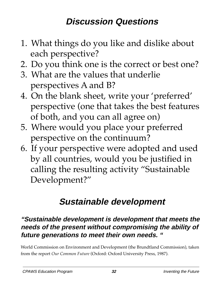# **Discussion Questions**

- 1. What things do you like and dislike about each perspective?
- 2. Do you think one is the correct or best one?
- 3. What are the values that underlie perspectives A and B?
- 4. On the blank sheet, write your 'preferred' perspective (one that takes the best features of both, and you can all agree on)
- 5. Where would you place your preferred perspective on the continuum?
- 6. If your perspective were adopted and used by all countries, would you be justified in calling the resulting activity "Sustainable Development?"

# **Sustainable development**

# **"Sustainable development is development that meets the needs of the present without compromising the ability of future generations to meet their own needs. "**

World Commission on Environment and Development (the Brundtland Commission), taken from the report *Our Common Future* (Oxford: Oxford University Press, 1987).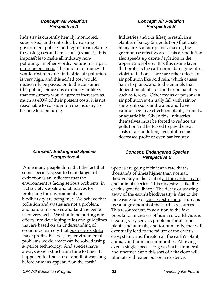### **Concept: Air Pollution Perspective A**

Industry is currently heavily monitored, supervised, and controlled by existing government policies and regulations relating to waste gases and emissions (exhaust). It is impossible to make all industry nonpolluting. In other words, pollution is a part of doing business. The amount of money it would cost to reduce industrial air pollution is very high, and this added cost would necessarily be passed on to the consumer (the public). Since it is extremely unlikely that consumers would agree to increases as much as 400% of their present costs, it is <u>not</u> reasonable to consider forcing industry to become less polluting.

# **Concept: Endangered Species Perspective A**

While many people think that the fact that some species appear to be in danger of extinction is an indicator that the environment is facing serious problems, in fact society's goals and objectives for protecting the environment and biodiversity are being met. We believe that pollution and wastes are not a problem, and natural resources and land are being used very well. We should be putting our efforts into developing rules and guidelines that are based on an understanding of economics: namely, that **business exists to** make profits. Besides, any environmental problems we do create can be solved using superior technology. And species have always gone extinct from time to time. It happened to dinosaurs – and that was long before humans appeared on the earth!

# **Concept: Air Pollution Perspective B**

Industries and our lifestyle result in a blanket of smog (air pollution) that coats many areas of our planet, making the greenhouse effect worse. This air pollution also speeds up <u>ozone depletion</u> in the upper atmosphere. It is this ozone layer that protects the earth from damaging ultra violet radiation. There are other effects of air pollution like acid rain, which causes harm to plants, and to the animals that depend on plants for food or on habitats such as forests. Other toxins or poisons in air pollution eventually fall with rain or snow onto soils and water, and have various negative effects on plants, animals, or aquatic life. Given this, industries themselves must be forced to reduce air pollution and be forced to pay the real costs of air pollution, even if it means decreased profit or even bankruptcy.

# **Concept: Endangered Species Perspective B**

Species are going extinct at a rate that is thousands of times higher than normal. Biodiversity is the total of all the earth's plant and animal species. This diversity is like the earth's genetic library. The decay or wasting away of the earth's biodiversity is due to the increasing rate of species extinction. Humans use a huge amount of the earth's resources. This resource use, in addition to the fast population increases of humans worldwide, is creating very serious problems for all other plants and animals, and for humanity, that will eventually lead to the failure of the earth's ecosystems, and threaten all the earth's plant, animal, and human communities. Allowing even a single species to go extinct is immoral and unethical; and this sort of behaviour will ultimately threaten our own existence.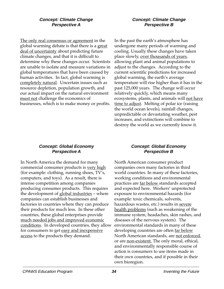### **Concept: Climate Change Perspective A**

The only real consensus or agreement in the global warming debate is that there is a great deal of uncertainty about predicting future climate changes, and that it is difficult to determine why these changes occur. Scientists are unable to isolate and measure variations in global temperatures that have been caused by human activities. In fact, global warming is completely natural. Uncertain issues such as resource depletion, population growth, and our actual impact on the natural environment must not challenge the economics of businesses, which is to make money or profits.

### **Concept: Global Economy Perspective A**

In North America the demand for many commercial consumer products is very high (for example: clothing, running shoes, TV's, computers, and toys). As a result, there is intense competition among companies producing consumer products. This requires the development of global industries - where companies can establish businesses and factories in countries where they can produce their products for much less. In these other countries, these global enterprises provide much needed jobs and improved economic conditions. In developed countries, they allow for consumers to get easy and inexpensive access to the products they demand.

#### **Concept: Climate Change Perspective B**

In the past the earth's atmosphere has undergone many periods of warming and cooling. Usually these changes have taken place slowly, over thousands of years, allowing plant and animal populations to adjust to the changes. According to the current scientific predictions for increased global warming, the earth's average temperature will rise higher than it has in the past 125,000 years. The change will occur relatively quickly, which means many ecosystems, plants, and animals will not have time to adjust. Melting of polar ice (raising the world ocean levels), rainfall changes, unpredictable or devastating weather, pest increases, and extinctions will combine to destroy the world as we currently know it.

### **Concept: Global Economy Perspective B**

North American consumer product companies own many factories in third world countries. In many of these factories, working conditions and environmental practices are far below standards accepted and expected here. Workers' unprotected exposure to environmental hazards (for example: toxic chemicals, solvents, hazardous wastes, etc.) results in severe health problems (such as weakening of the immune system, headaches, skin rashes, and diseases of the nervous system). The environmental standards in many of these developing countries are often far below North American standards, are not enforced, or are non-existent. The only moral, ethical, and environmentally responsible course of action is consumers to use items made in their own countries, and if possible in their own bioregion.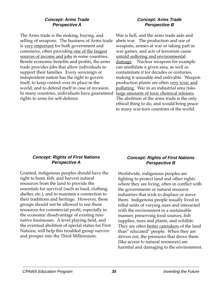### **Concept: Arms Trade Perspective A**

The Arms trade is the making, buying, and selling of weapons. The business of Arms trade is very important for both government and commerce, often providing one of the largest sources of income and jobs in some countries. Beside economic benefits and profits, the arms trade provides jobs that allow individuals to support their families. Every sovereign or independent nation has the right to govern itself, to keep control over its place in the world, and to defend itself in case of invasion. In many countries, individuals have guaranteed rights to arms for self-defence.

# **Concept: Arms Trade Perspective B**

War is hell, and the arms trade aids and abets war. The production and use of weapons, armies at war or taking part in war games, and acts of terrorism cause untold suffering and environmental damage. Nuclear weapons for example can annihilate a given area, as well as contaminate it for decades or centuries, making it unusable and unlivable. Weapon production plants are often very toxic and polluting. War in an industrial area risks large amounts of toxic chemical releases. The abolition of the arms trade is the only ethical thing to do, and would bring peace to many war-torn countries of the world.

### **Concept: Rights of First Nations Perspective A**

Granted, indigenous peoples should have the right to hunt, fish, and harvest natural resources from the land to provide the essentials for survival (such as food, clothing, shelter, etc.), and to maintain a connection to their traditions and heritage. However, these groups should not be allowed to use these resources for commercial profit, especially to the economic disadvantage of existing nonnative businesses. A level playing field, and the eventual abolition of special status for First Nations, will help this troubled group survive and prosper into the Third Millennium.

### **Concept: Rights of First Nations Perspective B**

Worldwide, indigenous peoples are fighting to protect land and other rights where they are living, often in conflict with the governments or natural resource industries that wish to displace or move them. Indigenous people usually lived in tribal units of varying sizes and interacted with the environment in a sustainable manner, preserving food sources, fish supplies, trees and plants, and wildlife. They are often **better caretakers** of the land than" educated" people. When they are driven out, the pressures that drove them (like access to natural resources) are harmful and damaging to the environment.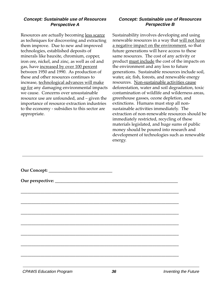### **Concept: Sustainable use of Resources Perspective A**

Resources are actually becoming <u>less scarce</u> as techniques for discovering and extracting them improve. Due to new and improved technologies, established deposits of minerals like bauxite, chromium, copper, iron ore, nickel, and zinc, as well as oil and gas, have increased by over 100 percent between 1950 and 1990. As production of these and other resources continues to increase, technological advances will make up for any damaging environmental impacts we cause. Concerns over unsustainable resource use are unfounded, and – given the importance of resource extraction industries to the economy - subsidies to this sector are appropriate.

### **Concept: Sustainable use of Resources Perspective B**

Sustainability involves developing and using renewable resources in a way that will not have <u>a negative impact on the environment</u>, so that future generations will have access to these same resources. The cost of any activity or product must include the cost of the impacts on the environment and any loss to future generations. Sustainable resources include soil, water, air, fish, forests, and renewable energy resources. Non-sustainable activities cause deforestation, water and soil degradation, toxic contamination of wildlife and wilderness areas, greenhouse gasses, ozone depletion, and extinctions. Humans must stop all nonsustainable activities immediately. The extraction of non-renewable resources should be immediately restricted, recycling of these materials legislated, and huge sums of public money should be poured into research and development of technologies such as renewable energy.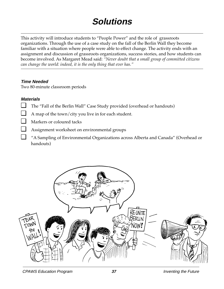# **Solutions**

This activity will introduce students to "People Power" and the role of grassroots organizations. Through the use of a case study on the fall of the Berlin Wall they become familiar with a situation where people were able to effect change. The activity ends with an assignment and discussion of grassroots organizations, success stories, and how students can become involved. As Margaret Mead said: *"Never doubt that a small group of committed citizens can change the world: indeed, it is the only thing that ever has."*

### **Time Needed**

Two 80-minute classroom periods

### **Materials**

- ❑ The "Fall of the Berlin Wall" Case Study provided (overhead or handouts)
- $\Box$  A map of the town/city you live in for each student.
- ❑ Markers or coloured tacks
- ❑ Assignment worksheet on environmental groups
- ❑ "A Sampling of Environmental Organizations across Alberta and Canada" (Overhead or handouts)

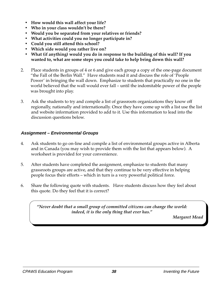- **How would this wall affect your life?**
- **Who in your class wouldn't be there?**
- **Would you be separated from your relatives or friends?**
- **What activities could you no longer participate in?**
- **Could you still attend this school?**
- **Which side would you rather live on?**
- **What (if anything) would you do in response to the building of this wall? If you wanted to, what are some steps you could take to help bring down this wall?**
- 2. Place students in groups of 4 or 6 and give each group a copy of the one-page document "the Fall of the Berlin Wall." Have students read it and discuss the role of 'People Power' in bringing the wall down. Emphasize to students that practically no one in the world believed that the wall would ever fall – until the indomitable power of the people was brought into play.
- 3. Ask the students to try and compile a list of grassroots organizations they know off regionally, nationally and internationally. Once they have come up with a list use the list and website information provided to add to it. Use this information to lead into the discussion questions below.

# **Assignment – Environmental Groups**

- 4. Ask students to go on-line and compile a list of environmental groups active in Alberta and in Canada (you may wish to provide them with the list that appears below). A worksheet is provided for your convenience.
- 5. After students have completed the assignment, emphasize to students that many grassroots groups are active, and that they continue to be very effective in helping people focus their efforts – which in turn is a very powerful political force.
- 6. Share the following quote with students. Have students discuss how they feel about this quote. Do they feel that it is correct?

*"Never doubt that a small group of committed citizens can change the world: indeed, it is the only thing that ever has."*

*Margaret Mead*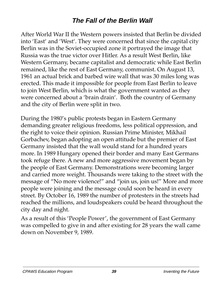# **The Fall of the Berlin Wall**

After World War II the Western powers insisted that Berlin be divided into 'East' and 'West'. They were concerned that since the capital city Berlin was in the Soviet-occupied zone it portrayed the image that Russia was the true victor over Hitler. As a result West Berlin, like Western Germany, became capitalist and democratic while East Berlin remained, like the rest of East Germany, communist. On August 13, 1961 an actual brick and barbed wire wall that was 30 miles long was erected. This made it impossible for people from East Berlin to leave to join West Berlin, which is what the government wanted as they were concerned about a 'brain drain'. Both the country of Germany and the city of Berlin were split in two.

During the 1980's public protests began in Eastern Germany demanding greater religious freedoms, less political oppression, and the right to voice their opinion. Russian Prime Minister, Mikhail Gorbachev, began adopting an open attitude but the premier of East Germany insisted that the wall would stand for a hundred years more. In 1989 Hungary opened their border and many East Germans took refuge there. A new and more aggressive movement began by the people of East Germany. Demonstrations were becoming larger and carried more weight. Thousands were taking to the street with the message of "No more violence!" and "join us, join us!" More and more people were joining and the message could soon be heard in every street. By October 16, 1989 the number of protesters in the streets had reached the millions, and loudspeakers could be heard throughout the city day and night.

As a result of this 'People Power', the government of East Germany was compelled to give in and after existing for 28 years the wall came down on November 9, 1989.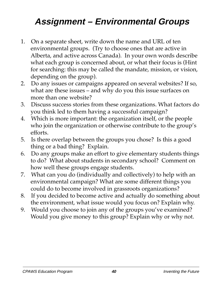# **Assignment – Environmental Groups**

- 1. On a separate sheet, write down the name and URL of ten environmental groups. (Try to choose ones that are active in Alberta, and active across Canada). In your own words describe what each group is concerned about, or what their focus is (Hint for searching: this may be called the mandate, mission, or vision, depending on the group).
- 2. Do any issues or campaigns appeared on several websites? If so, what are these issues – and why do you this issue surfaces on more than one website?
- 3. Discuss success stories from these organizations. What factors do you think led to them having a successful campaign?
- 4. Which is more important: the organization itself, or the people who join the organization or otherwise contribute to the group's efforts.
- 5. Is there overlap between the groups you chose? Is this a good thing or a bad thing? Explain.
- 6. Do any groups make an effort to give elementary students things to do? What about students in secondary school? Comment on how well these groups engage students.
- 7. What can you do (individually and collectively) to help with an environmental campaign? What are some different things you could do to become involved in grassroots organizations?
- 8. If you decided to become active and actually do something about the environment, what issue would you focus on? Explain why.
- 9. Would you choose to join any of the groups you've examined? Would you give money to this group? Explain why or why not.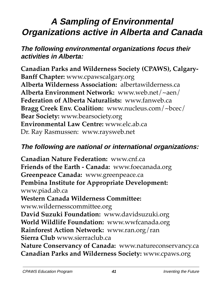# **A Sampling of Environmental Organizations active in Alberta and Canada**

**The following environmental organizations focus their activities in Alberta:**

**Canadian Parks and Wilderness Society (CPAWS), Calgary-Banff Chapter:** www.cpawscalgary.org **Alberta Wilderness Association:** albertawilderness.ca **Alberta Environment Network:** www.web.net/~aen/ **Federation of Alberta Naturalists:** www.fanweb.ca **Bragg Creek Env. Coalition:** www.nucleus.com/~bcec/ **Bear Society:** www.bearsociety.org **Environmental Law Centre:** www.elc.ab.ca Dr. Ray Rasmussen: www.raysweb.net

# **The following are national or international organizations:**

**Canadian Nature Federation:** www.cnf.ca **Friends of the Earth - Canada:** www.foecanada.org **Greenpeace Canada:** www.greenpeace.ca **Pembina Institute for Appropriate Development:** www.piad.ab.ca **Western Canada Wilderness Committee:** www.wildernesscommittee.org **David Suzuki Foundation:** www.davidsuzuki.org **World Wildlife Foundation:** www.wwfcanada.org **Rainforest Action Network:** www.ran.org/ran **Sierra Club** www.sierraclub.ca **Nature Conservancy of Canada:** www.natureconservancy.ca **Canadian Parks and Wilderness Society:** www.cpaws.org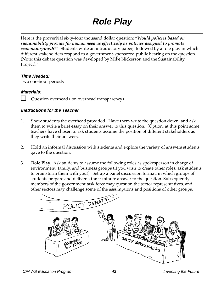# **Role Play**

Here is the proverbial sixty-four thousand dollar question: *"Would policies based on sustainability provide for human need as effectively as policies designed to promote economic growth?"* Students write an introductory paper, followed by a role play in which different stakeholders respond to a government-sponsored public hearing on the question. (Note: this debate question was developed by Mike Nickerson and the Sustainability Project).*"*

# **Time Needed:**

Two one-hour periods

# **Materials:**

❑ Question overhead ( on overhead transparency)

### **Instructions for the Teacher**

- 1. Show students the overhead provided. Have them write the question down, and ask them to write a brief essay on their answer to this question. (Option: at this point some teachers have chosen to ask students assume the position of different stakeholders as they write their answers.
- 2. Hold an informal discussion with students and explore the variety of answers students gave to the question.
- 3. **Role Play.** Ask students to assume the following roles as spokesperson in charge of environment, family, and business groups (if you wish to create other roles, ask students to brainstorm them with you!). Set up a panel discussion format, in which groups of students prepare and deliver a three-minute answer to the question. Subsequently members of the government task force may question the sector representatives, and other sectors may challenge some of the assumptions and positions of other groups.

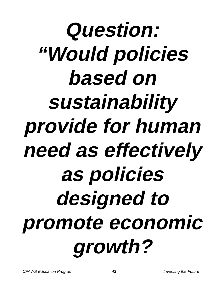**Question: "Would policies based on sustainability provide for human need as effectively as policies designed to promote economic growth?**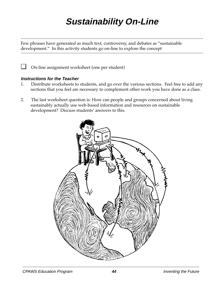# **Sustainability On-Line**

Few phrases have generated as much text, controversy, and debates as "sustainable development." In this activity students go on-line to explore the concept



❑ On-line assignment worksheet (one per student)

### **Instructions for the Teacher**

- 1. Distribute worksheets to students, and go over the various sections. Feel free to add any sections that you feel are necessary to complement other work you have done as a class.
- 2. The last worksheet question is: How can people and groups concerned about living sustainably actually use web-based information and resources on sustainable development? Discuss students' answers to this.

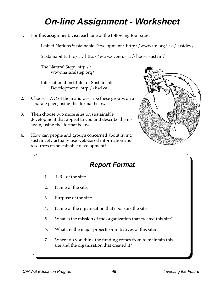# **On-line Assignment - Worksheet**

1. For this assignment, visit each one of the following four sites:

United Nations Sustainable Development : http://www.un.org/esa/sustdev/

Sustainability Project: http://www.cyberus.ca/choose.sustain/

The Natural Step: http:// www.naturalstep.org/

International Institute for Sustainable Development: http://iisd.ca

- 2. Choose TWO of them and describe these groups on a separate page, using the format below.
- 3, Then choose two more sites on sustainable development that appeal to you and describe them again, using the format below.
- 4. How can people and groups concerned about living sustainably actually use web-based information and resources on sustainable development?



# **Report Format**

- 1. URL of the site:
- 2. Name of the site:
- 3. Purpose of the site:
- 4. Name of the organization that sponsors the site
- 5. What is the mission of the organization that created this site?
- 6. What are the major projects or initiatives of this site?
- 7. Where do you think the funding comes from to maintain this site and the organization that created it?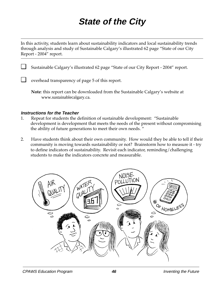# **State of the City**

In this activity, students learn about sustainability indicators and local sustainability trends through analysis and study of Sustainable Calgary's illustrated 62 page "State of our City Report - 2004" report.

❑ Sustainable Calgary's illustrated 62 page "State of our City Report - 2004" report.

❑ overhead transparency of page 5 of this report.

**Note**: this report can be downloaded from the Sustainable Calgary's website at www.sustainablecalgary.ca.

# **Instructions for the Teacher**

- 1. Repeat for students the definition of sustainable development: "Sustainable development is development that meets the needs of the present without compromising the ability of future generations to meet their own needs. "
- 2. Have students think about their own community. How would they be able to tell if their community is moving towards sustainability or not? Brainstorm how to measure it - try to define indicators of sustainability. Revisit each indicator, reminding/challenging students to make the indicators concrete and measurable.